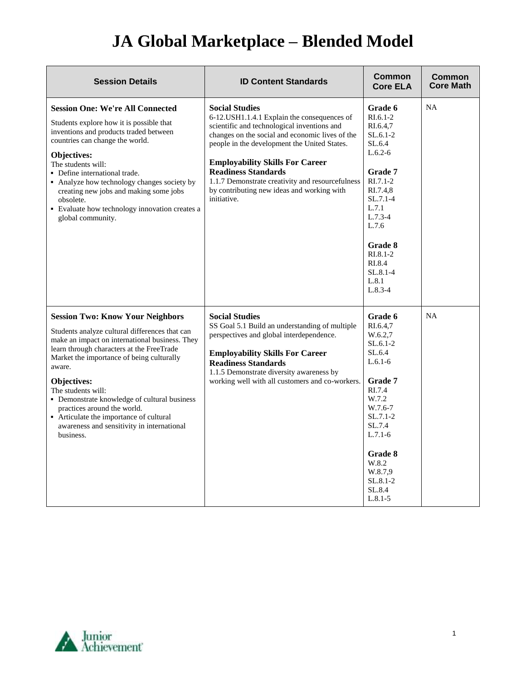## **JA Global Marketplace – Blended Model**

| <b>Session Details</b>                                                                                                                                                                                                                                                                                                                                                                                                                                                    | <b>ID Content Standards</b>                                                                                                                                                                                                                                                                                                                                                                                     | Common<br><b>Core ELA</b>                                                                                                                                                                                                         | <b>Common</b><br><b>Core Math</b> |
|---------------------------------------------------------------------------------------------------------------------------------------------------------------------------------------------------------------------------------------------------------------------------------------------------------------------------------------------------------------------------------------------------------------------------------------------------------------------------|-----------------------------------------------------------------------------------------------------------------------------------------------------------------------------------------------------------------------------------------------------------------------------------------------------------------------------------------------------------------------------------------------------------------|-----------------------------------------------------------------------------------------------------------------------------------------------------------------------------------------------------------------------------------|-----------------------------------|
| <b>Session One: We're All Connected</b><br>Students explore how it is possible that<br>inventions and products traded between<br>countries can change the world.<br>Objectives:<br>The students will:<br>• Define international trade.<br>• Analyze how technology changes society by<br>creating new jobs and making some jobs<br>obsolete.<br>• Evaluate how technology innovation creates a<br>global community.                                                       | <b>Social Studies</b><br>6-12.USH1.1.4.1 Explain the consequences of<br>scientific and technological inventions and<br>changes on the social and economic lives of the<br>people in the development the United States.<br><b>Employability Skills For Career</b><br><b>Readiness Standards</b><br>1.1.7 Demonstrate creativity and resourcefulness<br>by contributing new ideas and working with<br>initiative. | Grade 6<br>$R1.6.1-2$<br>RI.6.4,7<br>$SL.6.1-2$<br>SL.6.4<br>$L.6.2-6$<br>Grade 7<br>$RI.7.1-2$<br>RI.7.4,8<br>$SL.7.1-4$<br>L.7.1<br>$L.7.3-4$<br>L.7.6<br>Grade 8<br>$RI.8.1-2$<br>RI.8.4<br>$SL.8.1 - 4$<br>L.8.1<br>$L.8.3-4$ | <b>NA</b>                         |
| <b>Session Two: Know Your Neighbors</b><br>Students analyze cultural differences that can<br>make an impact on international business. They<br>learn through characters at the FreeTrade<br>Market the importance of being culturally<br>aware.<br>Objectives:<br>The students will:<br>• Demonstrate knowledge of cultural business<br>practices around the world.<br>• Articulate the importance of cultural<br>awareness and sensitivity in international<br>business. | <b>Social Studies</b><br>SS Goal 5.1 Build an understanding of multiple<br>perspectives and global interdependence.<br><b>Employability Skills For Career</b><br><b>Readiness Standards</b><br>1.1.5 Demonstrate diversity awareness by<br>working well with all customers and co-workers.                                                                                                                      | Grade 6<br>RI.6.4,7<br>W.6.2,7<br>$SL.6.1-2$<br>SL.6.4<br>$L.6.1-6$<br><b>Grade 7</b><br>RI.7.4<br>W.7.2<br>W.7.6-7<br>$SL.7.1-2$<br>SL.7.4<br>$L.7.1-6$<br>Grade 8<br>W.8.2<br>W.8.7,9<br>$SL.8.1-2$<br>SL.8.4<br>$L.8.1 - 5$    | <b>NA</b>                         |

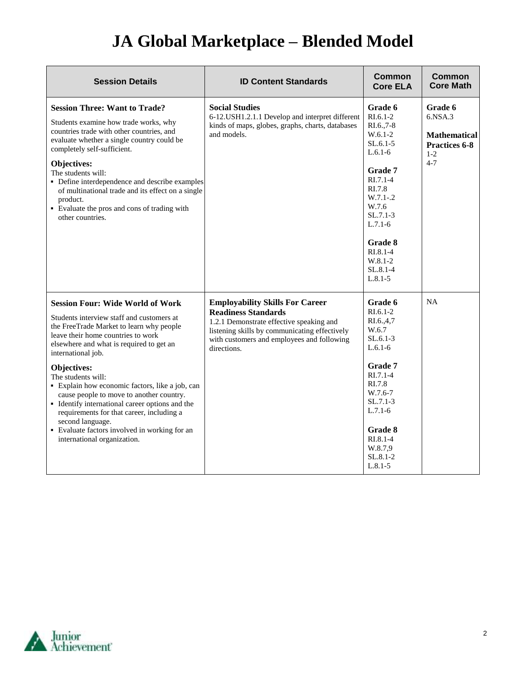## **JA Global Marketplace – Blended Model**

| <b>Session Details</b>                                                                                                                                                                                                                                                                                                                                                                                                                                                                                                                                                                  | <b>ID Content Standards</b>                                                                                                                                                                                                    | Common<br><b>Core ELA</b>                                                                                                                                                                                                           | Common<br><b>Core Math</b>                                                                    |
|-----------------------------------------------------------------------------------------------------------------------------------------------------------------------------------------------------------------------------------------------------------------------------------------------------------------------------------------------------------------------------------------------------------------------------------------------------------------------------------------------------------------------------------------------------------------------------------------|--------------------------------------------------------------------------------------------------------------------------------------------------------------------------------------------------------------------------------|-------------------------------------------------------------------------------------------------------------------------------------------------------------------------------------------------------------------------------------|-----------------------------------------------------------------------------------------------|
| <b>Session Three: Want to Trade?</b><br>Students examine how trade works, why<br>countries trade with other countries, and<br>evaluate whether a single country could be<br>completely self-sufficient.<br><b>Objectives:</b><br>The students will:<br>• Define interdependence and describe examples<br>of multinational trade and its effect on a single<br>product.<br>• Evaluate the pros and cons of trading with<br>other countries.                                                                                                                                              | <b>Social Studies</b><br>6-12. USH1.2.1.1 Develop and interpret different<br>kinds of maps, globes, graphs, charts, databases<br>and models.                                                                                   | Grade 6<br>$R1.6.1-2$<br>RI.6., 7-8<br>$W.6.1-2$<br>$SL.6.1-5$<br>$L.6.1-6$<br>Grade 7<br>$R1.7.1-4$<br>RI.7.8<br>$W.7.1-.2$<br>W.7.6<br>$SL.7.1-3$<br>$L.7.1-6$<br>Grade 8<br>$RI.8.1-4$<br>$W.8.1 - 2$<br>SL.8.1-4<br>$L.8.1 - 5$ | Grade 6<br>$6.$ NSA $.3$<br><b>Mathematical</b><br><b>Practices 6-8</b><br>$1 - 2$<br>$4 - 7$ |
| <b>Session Four: Wide World of Work</b><br>Students interview staff and customers at<br>the FreeTrade Market to learn why people<br>leave their home countries to work<br>elsewhere and what is required to get an<br>international job.<br><b>Objectives:</b><br>The students will:<br>· Explain how economic factors, like a job, can<br>cause people to move to another country.<br>• Identify international career options and the<br>requirements for that career, including a<br>second language.<br>• Evaluate factors involved in working for an<br>international organization. | <b>Employability Skills For Career</b><br><b>Readiness Standards</b><br>1.2.1 Demonstrate effective speaking and<br>listening skills by communicating effectively<br>with customers and employees and following<br>directions. | Grade 6<br>$RI.6.1-2$<br>RI.6.,4,7<br>W.6.7<br>$SL.6.1-3$<br>$L.6.1-6$<br>Grade 7<br>$RI.7.1-4$<br>RI.7.8<br>W.7.6-7<br>$SL.7.1-3$<br>$L.7.1-6$<br>Grade 8<br>$RI.8.1-4$<br>W.8.7,9<br>SL.8.1-2<br>$L.8.1 - 5$                      | <b>NA</b>                                                                                     |